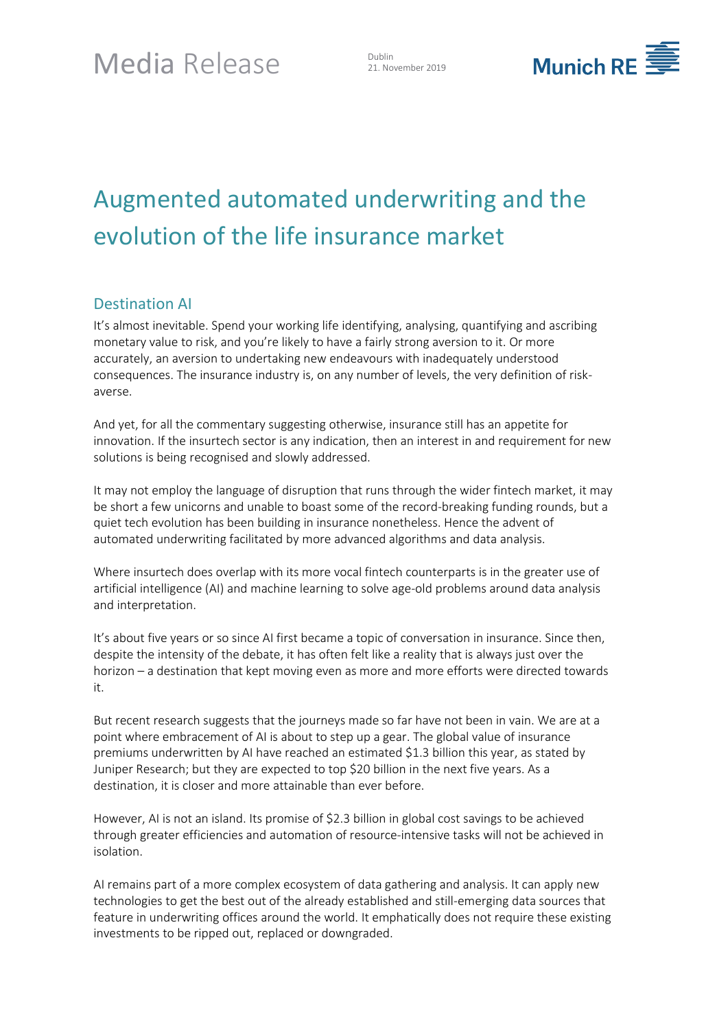21. November 2019



# Augmented automated underwriting and the evolution of the life insurance market

## Destination AI

It's almost inevitable. Spend your working life identifying, analysing, quantifying and ascribing monetary value to risk, and you're likely to have a fairly strong aversion to it. Or more accurately, an aversion to undertaking new endeavours with inadequately understood consequences. The insurance industry is, on any number of levels, the very definition of riskaverse.

And yet, for all the commentary suggesting otherwise, insurance still has an appetite for innovation. If the insurtech sector is any indication, then an interest in and requirement for new solutions is being recognised and slowly addressed.

It may not employ the language of disruption that runs through the wider fintech market, it may be short a few unicorns and unable to boast some of the record-breaking funding rounds, but a quiet tech evolution has been building in insurance nonetheless. Hence the advent of automated underwriting facilitated by more advanced algorithms and data analysis.

Where insurtech does overlap with its more vocal fintech counterparts is in the greater use of artificial intelligence (AI) and machine learning to solve age-old problems around data analysis and interpretation.

It's about five years or so since AI first became a topic of conversation in insurance. Since then, despite the intensity of the debate, it has often felt like a reality that is always just over the horizon – a destination that kept moving even as more and more efforts were directed towards it.

But recent research suggests that the journeys made so far have not been in vain. We are at a point where embracement of AI is about to step up a gear. The global value of insurance premiums underwritten by AI have reached an estimated \$1.3 billion this year, as stated by [Juniper Research;](https://www.juniperresearch.com/researchstore/fintech-payments/insurtech) but they are expected to top \$20 billion in the next five years. As a destination, it is closer and more attainable than ever before.

However, AI is not an island. Its promise of \$2.3 billion in global cost savings to be achieved through greater efficiencies and automation of resource-intensive tasks will not be achieved in isolation.

AI remains part of a more complex ecosystem of data gathering and analysis. It can apply new technologies to get the best out of the already established and still-emerging data sources that feature in underwriting offices around the world. It emphatically does not require these existing investments to be ripped out, replaced or downgraded.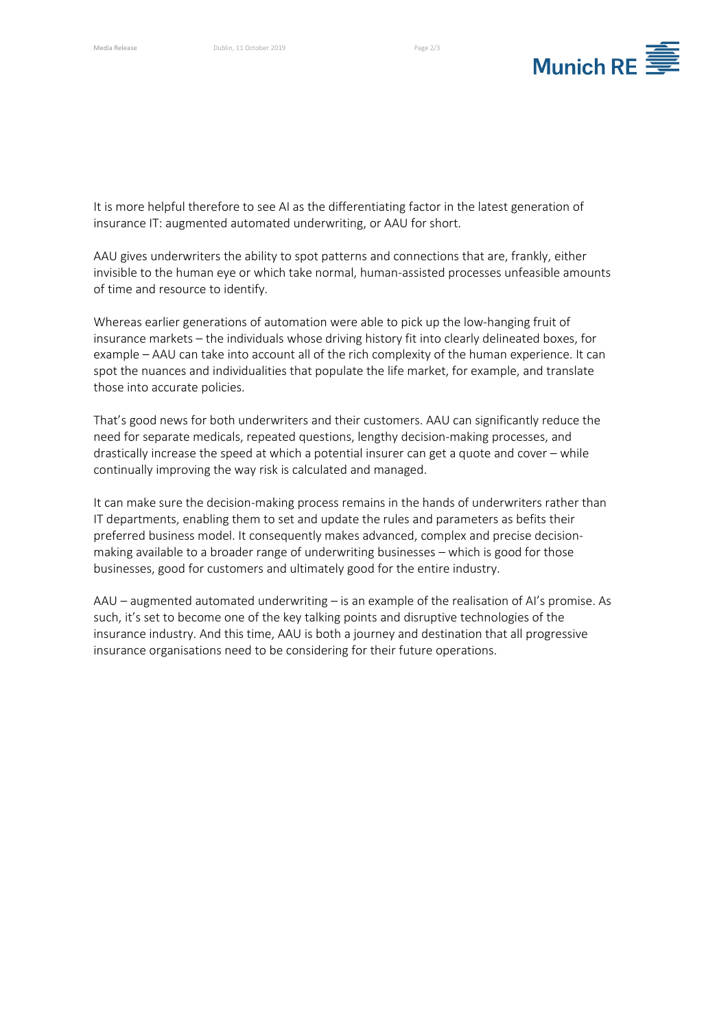

It is more helpful therefore to see AI as the differentiating factor in the latest generation of insurance IT: augmented automated underwriting, or AAU for short.

AAU gives underwriters the ability to spot patterns and connections that are, frankly, either invisible to the human eye or which take normal, human-assisted processes unfeasible amounts of time and resource to identify.

Whereas earlier generations of automation were able to pick up the low-hanging fruit of insurance markets – the individuals whose driving history fit into clearly delineated boxes, for example – AAU can take into account all of the rich complexity of the human experience. It can spot the nuances and individualities that populate the life market, for example, and translate those into accurate policies.

That's good news for both underwriters and their customers. AAU can significantly reduce the need for separate medicals, repeated questions, lengthy decision-making processes, and drastically increase the speed at which a potential insurer can get a quote and cover – while continually improving the way risk is calculated and managed.

It can make sure the decision-making process remains in the hands of underwriters rather than IT departments, enabling them to set and update the rules and parameters as befits their preferred business model. It consequently makes advanced, complex and precise decisionmaking available to a broader range of underwriting businesses – which is good for those businesses, good for customers and ultimately good for the entire industry.

AAU – augmented automated underwriting – is an example of the realisation of AI's promise. As such, it's set to become one of the key talking points and disruptive technologies of the insurance industry. And this time, AAU is both a journey and destination that all progressive insurance organisations need to be considering for their future operations.